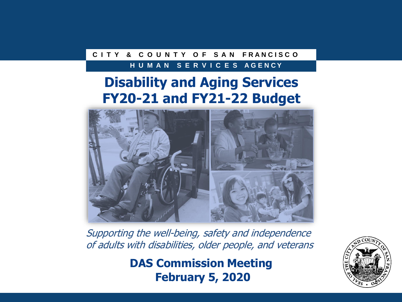### **C I T Y & C O U N T Y O F S A N F R A N C I S C O**

#### **H U M A N S E R V I C E S A G E N C Y**

## **Disability and Aging Services FY20-21 and FY21-22 Budget**



Supporting the well-being, safety and independence of adults with disabilities, older people, and veterans

> **DAS Commission Meeting February 5, 2020**

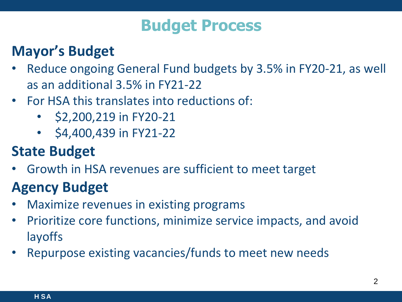# **Budget Process**

# **Mayor's Budget**

- Reduce ongoing General Fund budgets by 3.5% in FY20-21, as well as an additional 3.5% in FY21-22
- For HSA this translates into reductions of:
	- \$2,200,219 in FY20-21
	- \$4,400,439 in FY21-22

# **State Budget**

• Growth in HSA revenues are sufficient to meet target

# **Agency Budget**

- Maximize revenues in existing programs
- $\overline{\phantom{a}}$ • Prioritize core functions, minimize service impacts, and avoid layoffs
- Repurpose existing vacancies/funds to meet new needs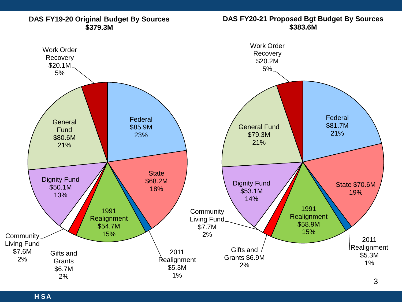

# **DAS FY20-21 Proposed Bgt Budget By Sources**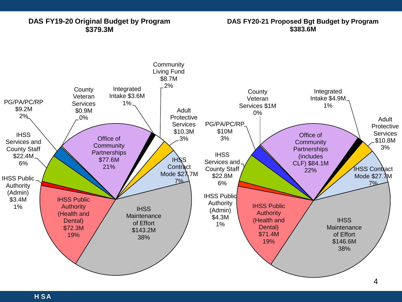#### **DAS FY19-20 Original Budget by Program \$379.3M**

**DAS FY20-21 Proposed Bgt Budget by Program \$383.6M**

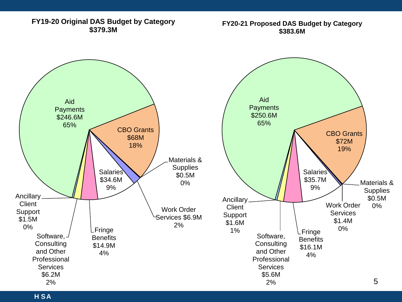**FY19-20 Original DAS Budget by Category \$379.3M**

**FY20-21 Proposed DAS Budget by Category \$383.6M**

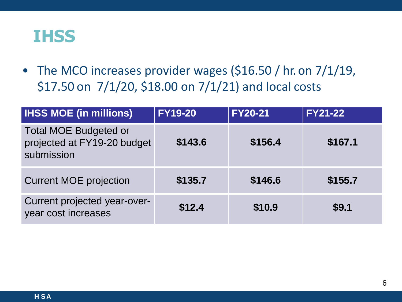

• The MCO increases provider wages (\$16.50 / hr. on 7/1/19, \$17.50 on 7/1/20, \$18.00 on 7/1/21) and local costs

| <b>IHSS MOE (in millions)</b>                                             | <b>FY19-20</b> | <b>FY20-21</b> | <b>FY21-22</b> |
|---------------------------------------------------------------------------|----------------|----------------|----------------|
| <b>Total MOE Budgeted or</b><br>projected at FY19-20 budget<br>submission | \$143.6        | \$156.4        | \$167.1        |
| <b>Current MOE projection</b>                                             | \$135.7        | \$146.6        | \$155.7        |
| Current projected year-over-<br>year cost increases                       | \$12.4         | \$10.9         | \$9.1          |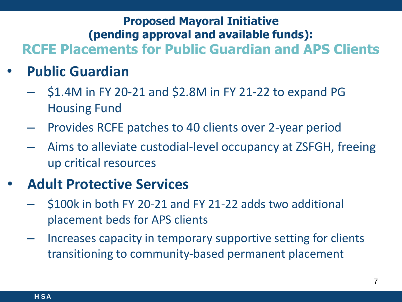### **Proposed Mayoral Initiative (pending approval and available funds): RCFE Placements for Public Guardian and APS Clients**

- **Public Guardian**
	- \$1.4M in FY 20-21 and \$2.8M in FY 21-22 to expand PG Housing Fund
	- Provides RCFE patches to 40 clients over 2-year period
	- Aims to alleviate custodial-level occupancy at ZSFGH, freeing up critical resources

## • **Adult Protective Services**

- \$100k in both FY 20-21 and FY 21-22 adds two additional placement beds for APS clients
- Increases capacity in temporary supportive setting for clients transitioning to community-based permanent placement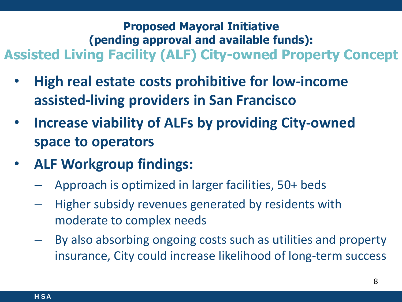### **Proposed Mayoral Initiative (pending approval and available funds): Assisted Living Facility (ALF) City-owned Property Concept**

- **High real estate costs prohibitive for low-income assisted-living providers in San Francisco**
- **Increase viability of ALFs by providing City-owned space to operators**
- **ALF Workgroup findings:**
	- Approach is optimized in larger facilities, 50+ beds
	- Higher subsidy revenues generated by residents with moderate to complex needs
	- By also absorbing ongoing costs such as utilities and property insurance, City could increase likelihood of long-term success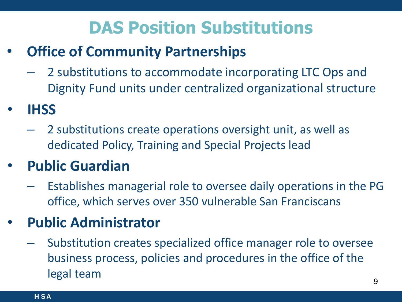# **DAS Position Substitutions**

# **Office of Community Partnerships**

- 2 substitutions to accommodate incorporating LTC Ops and Dignity Fund units under centralized organizational structure
- **IHSS**
	- 2 substitutions create operations oversight unit, as well as dedicated Policy, Training and Special Projects lead

# • **Public Guardian**

– Establishes managerial role to oversee daily operations in the PG office, which serves over 350 vulnerable San Franciscans

## • **Public Administrator**

– Substitution creates specialized office manager role to oversee business process, policies and procedures in the office of the legal team